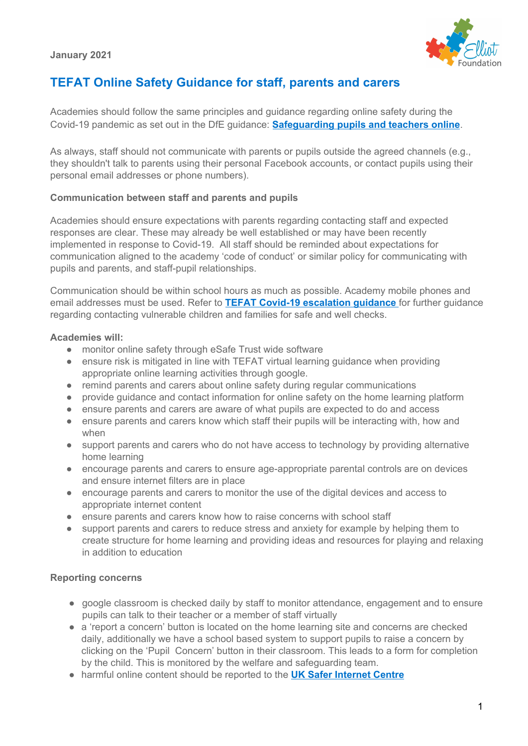

# **TEFAT Online Safety Guidance for staff, parents and carers**

Academies should follow the same principles and guidance regarding online safety during the Covid-19 pandemic as set out in the DfE guidance: **[Safeguarding](https://www.gov.uk/guidance/safeguarding-and-remote-education-during-coronavirus-covid-19) pupils and teachers online**.

As always, staff should not communicate with parents or pupils outside the agreed channels (e.g., they shouldn't talk to parents using their personal Facebook accounts, or contact pupils using their personal email addresses or phone numbers).

#### **Communication between staff and parents and pupils**

Academies should ensure expectations with parents regarding contacting staff and expected responses are clear. These may already be well established or may have been recently implemented in response to Covid-19. All staff should be reminded about expectations for communication aligned to the academy 'code of conduct' or similar policy for communicating with pupils and parents, and staff-pupil relationships.

Communication should be within school hours as much as possible. Academy mobile phones and email addresses must be used. Refer to **TEFAT Covid-19 [escalation](https://docs.google.com/document/d/1YYmC2AscSXudVvAuZaz8W3mOqKaxOaZ7cbSdv45bitU/edit?ts=5e7cb614) guidance** for further guidance regarding contacting vulnerable children and families for safe and well checks.

#### **Academies will:**

- monitor online safety through eSafe Trust wide software
- ensure risk is mitigated in line with TEFAT virtual learning guidance when providing appropriate online learning activities through google.
- remind parents and carers about online safety during regular communications
- provide guidance and contact information for online safety on the home learning platform
- ensure parents and carers are aware of what pupils are expected to do and access
- ensure parents and carers know which staff their pupils will be interacting with, how and when
- support parents and carers who do not have access to technology by providing alternative home learning
- encourage parents and carers to ensure age-appropriate parental controls are on devices and ensure internet filters are in place
- encourage parents and carers to monitor the use of the digital devices and access to appropriate internet content
- ensure parents and carers know how to raise concerns with school staff
- support parents and carers to reduce stress and anxiety for example by helping them to create structure for home learning and providing ideas and resources for playing and relaxing in addition to education

#### **Reporting concerns**

- google classroom is checked daily by staff to monitor attendance, engagement and to ensure pupils can talk to their teacher or a member of staff virtually
- a 'report a concern' button is located on the home learning site and concerns are checked daily, additionally we have a school based system to support pupils to raise a concern by clicking on the 'Pupil Concern' button in their classroom. This leads to a form for completion by the child. This is monitored by the welfare and safeguarding team.
- harmful online content should be reported to the **UK Safer [Internet](https://reportharmfulcontent.com/) Centre**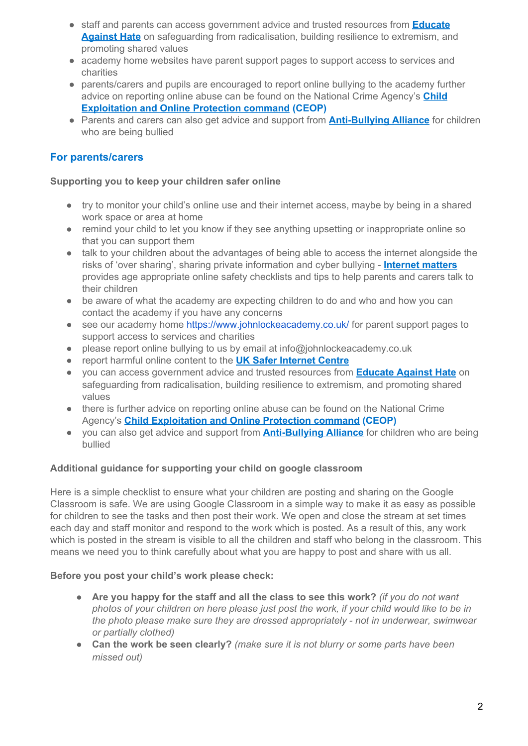- staff and parents can access government advice and trusted resources from **[Educate](https://educateagainsthate.com/) [Against](https://educateagainsthate.com/) Hate** on safeguarding from radicalisation, building resilience to extremism, and promoting shared values
- academy home websites have parent support pages to support access to services and charities
- parents/carers and pupils are encouraged to report online bullying to the academy further advice on reporting online abuse can be found on the National Crime Agency's **[Child](https://www.ceop.police.uk/safety-centre/) [Exploitation](https://www.ceop.police.uk/safety-centre/) and Online Protection command (CEOP)**
- Parents and carers can also get advice and support from **[Anti-Bullying](https://www.anti-bullyingalliance.org.uk/tools-information/if-youre-being-bullied) Alliance** for children who are being bullied

## **For parents/carers**

#### **Supporting you to keep your children safer online**

- try to monitor your child's online use and their internet access, maybe by being in a shared work space or area at home
- remind your child to let you know if they see anything upsetting or inappropriate online so that you can support them
- talk to your children about the advantages of being able to access the internet alongside the risks of 'over sharing', sharing private information and cyber bullying - **[Internet](https://www.internetmatters.org/?gclid=EAIaIQobChMIktuA5LWK2wIVRYXVCh2afg2aEAAYASAAEgIJ5vD_BwE) matters** provides age appropriate online safety checklists and tips to help parents and carers talk to their children
- be aware of what the academy are expecting children to do and who and how you can contact the academy if you have any concerns
- see our academy home <https://www.johnlockeacademy.co.uk/> for parent support pages to support access to services and charities
- please report online bullying to us by email at info@johnlockeacademy.co.uk
- report harmful online content to the **UK Safer [Internet](https://reportharmfulcontent.com/) Centre**
- you can access government advice and trusted resources from **[Educate](https://educateagainsthate.com/) Against Hate** on safeguarding from radicalisation, building resilience to extremism, and promoting shared values
- there is further advice on reporting online abuse can be found on the National Crime Agency's **Child [Exploitation](https://www.ceop.police.uk/safety-centre/) and Online Protection command (CEOP)**
- you can also get advice and support from **[Anti-Bullying](https://www.anti-bullyingalliance.org.uk/tools-information/if-youre-being-bullied) Alliance** for children who are being bullied

### **Additional guidance for supporting your child on google classroom**

Here is a simple checklist to ensure what your children are posting and sharing on the Google Classroom is safe. We are using Google Classroom in a simple way to make it as easy as possible for children to see the tasks and then post their work. We open and close the stream at set times each day and staff monitor and respond to the work which is posted. As a result of this, any work which is posted in the stream is visible to all the children and staff who belong in the classroom. This means we need you to think carefully about what you are happy to post and share with us all.

#### **Before you post your child's work please check:**

- **Are you happy for the staff and all the class to see this work?** *(if you do not want* photos of your children on here please just post the work, if your child would like to be in *the photo please make sure they are dressed appropriately - not in underwear, swimwear or partially clothed)*
- **Can the work be seen clearly?** *(make sure it is not blurry or some parts have been missed out)*